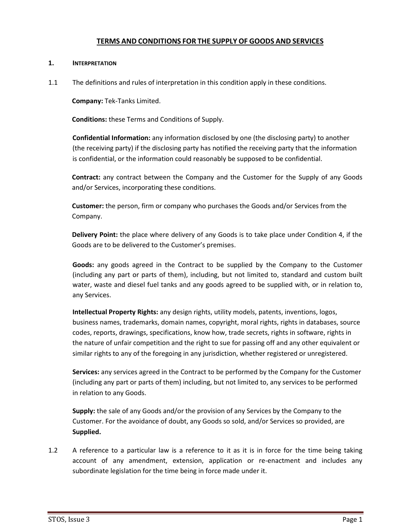# **TERMS AND CONDITIONS FOR THE SUPPLY OF GOODS AND SERVICES**

## **1. INTERPRETATION**

1.1 The definitions and rules of interpretation in this condition apply in these conditions.

**Company:** Tek-Tanks Limited.

**Conditions:** these Terms and Conditions of Supply.

**Confidential Information:** any information disclosed by one (the disclosing party) to another (the receiving party) if the disclosing party has notified the receiving party that the information is confidential, or the information could reasonably be supposed to be confidential.

**Contract:** any contract between the Company and the Customer for the Supply of any Goods and/or Services, incorporating these conditions.

**Customer:** the person, firm or company who purchases the Goods and/or Services from the Company.

**Delivery Point:** the place where delivery of any Goods is to take place under Condition [4,](#page-2-0) if the Goods are to be delivered to the Customer's premises.

**Goods:** any goods agreed in the Contract to be supplied by the Company to the Customer (including any part or parts of them), including, but not limited to, standard and custom built water, waste and diesel fuel tanks and any goods agreed to be supplied with, or in relation to, any Services.

**Intellectual Property Rights:** any design rights, utility models, patents, inventions, logos, business names, trademarks, domain names, copyright, moral rights, rights in databases, source codes, reports, drawings, specifications, know how, trade secrets, rights in software, rights in the nature of unfair competition and the right to sue for passing off and any other equivalent or similar rights to any of the foregoing in any jurisdiction, whether registered or unregistered.

**Services:** any services agreed in the Contract to be performed by the Company for the Customer (including any part or parts of them) including, but not limited to, any services to be performed in relation to any Goods.

**Supply:** the sale of any Goods and/or the provision of any Services by the Company to the Customer. For the avoidance of doubt, any Goods so sold, and/or Services so provided, are **Supplied.**

1.2 A reference to a particular law is a reference to it as it is in force for the time being taking account of any amendment, extension, application or re-enactment and includes any subordinate legislation for the time being in force made under it.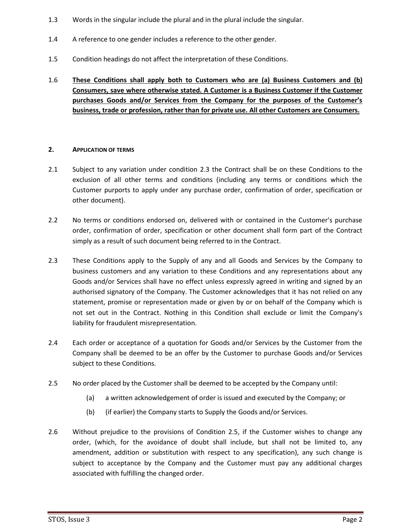- 1.3 Words in the singular include the plural and in the plural include the singular.
- 1.4 A reference to one gender includes a reference to the other gender.
- 1.5 Condition headings do not affect the interpretation of these Conditions.
- 1.6 **These Conditions shall apply both to Customers who are (a) Business Customers and (b) Consumers, save where otherwise stated. A Customer is a Business Customer if the Customer purchases Goods and/or Services from the Company for the purposes of the Customer's business, trade or profession, rather than for private use. All other Customers are Consumers.**

#### **2. APPLICATION OF TERMS**

- 2.1 Subject to any variation under condition [2.3](#page-1-0) the Contract shall be on these Conditions to the exclusion of all other terms and conditions (including any terms or conditions which the Customer purports to apply under any purchase order, confirmation of order, specification or other document).
- 2.2 No terms or conditions endorsed on, delivered with or contained in the Customer's purchase order, confirmation of order, specification or other document shall form part of the Contract simply as a result of such document being referred to in the Contract.
- <span id="page-1-0"></span>2.3 These Conditions apply to the Supply of any and all Goods and Services by the Company to business customers and any variation to these Conditions and any representations about any Goods and/or Services shall have no effect unless expressly agreed in writing and signed by an authorised signatory of the Company. The Customer acknowledges that it has not relied on any statement, promise or representation made or given by or on behalf of the Company which is not set out in the Contract. Nothing in this Condition shall exclude or limit the Company's liability for fraudulent misrepresentation.
- 2.4 Each order or acceptance of a quotation for Goods and/or Services by the Customer from the Company shall be deemed to be an offer by the Customer to purchase Goods and/or Services subject to these Conditions.
- 2.5 No order placed by the Customer shall be deemed to be accepted by the Company until:
	- (a) a written acknowledgement of order is issued and executed by the Company; or
	- (b) (if earlier) the Company starts to Supply the Goods and/or Services.
- 2.6 Without prejudice to the provisions of Condition 2.5, if the Customer wishes to change any order, (which, for the avoidance of doubt shall include, but shall not be limited to, any amendment, addition or substitution with respect to any specification), any such change is subject to acceptance by the Company and the Customer must pay any additional charges associated with fulfilling the changed order.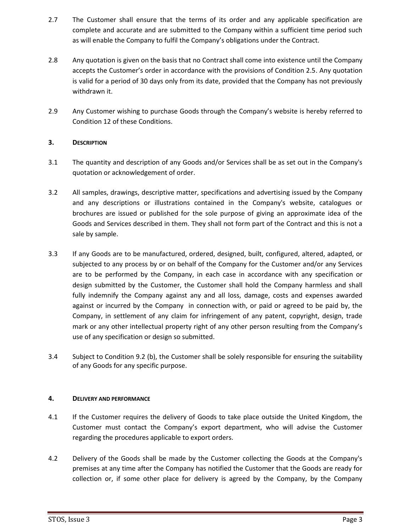- 2.7 The Customer shall ensure that the terms of its order and any applicable specification are complete and accurate and are submitted to the Company within a sufficient time period such as will enable the Company to fulfil the Company's obligations under the Contract.
- 2.8 Any quotation is given on the basis that no Contract shall come into existence until the Company accepts the Customer's order in accordance with the provisions of Condition 2.5. Any quotation is valid for a period of 30 days only from its date, provided that the Company has not previously withdrawn it.
- 2.9 Any Customer wishing to purchase Goods through the Company's website is hereby referred to Condition 12 of these Conditions.

## **3. DESCRIPTION**

- 3.1 The quantity and description of any Goods and/or Services shall be as set out in the Company's quotation or acknowledgement of order.
- 3.2 All samples, drawings, descriptive matter, specifications and advertising issued by the Company and any descriptions or illustrations contained in the Company's website, catalogues or brochures are issued or published for the sole purpose of giving an approximate idea of the Goods and Services described in them. They shall not form part of the Contract and this is not a sale by sample.
- 3.3 If any Goods are to be manufactured, ordered, designed, built, configured, altered, adapted, or subjected to any process by or on behalf of the Company for the Customer and/or any Services are to be performed by the Company, in each case in accordance with any specification or design submitted by the Customer, the Customer shall hold the Company harmless and shall fully indemnify the Company against any and all loss, damage, costs and expenses awarded against or incurred by the Company in connection with, or paid or agreed to be paid by, the Company, in settlement of any claim for infringement of any patent, copyright, design, trade mark or any other intellectual property right of any other person resulting from the Company's use of any specification or design so submitted.
- 3.4 Subject to Condition 9.2 (b), the Customer shall be solely responsible for ensuring the suitability of any Goods for any specific purpose.

## <span id="page-2-0"></span>**4. DELIVERY AND PERFORMANCE**

- 4.1 If the Customer requires the delivery of Goods to take place outside the United Kingdom, the Customer must contact the Company's export department, who will advise the Customer regarding the procedures applicable to export orders.
- 4.2 Delivery of the Goods shall be made by the Customer collecting the Goods at the Company's premises at any time after the Company has notified the Customer that the Goods are ready for collection or, if some other place for delivery is agreed by the Company, by the Company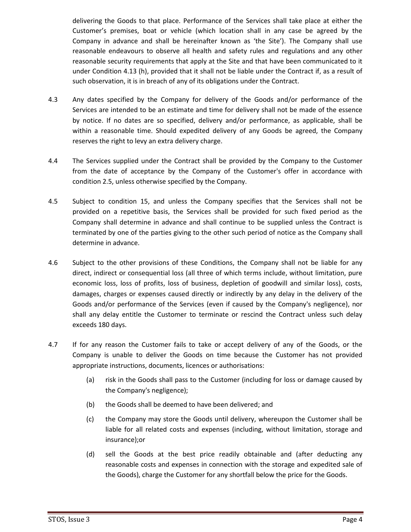delivering the Goods to that place. Performance of the Services shall take place at either the Customer's premises, boat or vehicle (which location shall in any case be agreed by the Company in advance and shall be hereinafter known as 'the Site'). The Company shall use reasonable endeavours to observe all health and safety rules and regulations and any other reasonable security requirements that apply at the Site and that have been communicated to it under Condition 4.13 (h), provided that it shall not be liable under the Contract if, as a result of such observation, it is in breach of any of its obligations under the Contract.

- 4.3 Any dates specified by the Company for delivery of the Goods and/or performance of the Services are intended to be an estimate and time for delivery shall not be made of the essence by notice. If no dates are so specified, delivery and/or performance, as applicable, shall be within a reasonable time. Should expedited delivery of any Goods be agreed, the Company reserves the right to levy an extra delivery charge.
- 4.4 The Services supplied under the Contract shall be provided by the Company to the Customer from the date of acceptance by the Company of the Customer's offer in accordance with condition 2.5, unless otherwise specified by the Company.
- 4.5 Subject to condition [15,](#page-16-0) and unless the Company specifies that the Services shall not be provided on a repetitive basis, the Services shall be provided for such fixed period as the Company shall determine in advance and shall continue to be supplied unless the Contract is terminated by one of the parties giving to the other such period of notice as the Company shall determine in advance.
- 4.6 Subject to the other provisions of these Conditions, the Company shall not be liable for any direct, indirect or consequential loss (all three of which terms include, without limitation, pure economic loss, loss of profits, loss of business, depletion of goodwill and similar loss), costs, damages, charges or expenses caused directly or indirectly by any delay in the delivery of the Goods and/or performance of the Services (even if caused by the Company's negligence), nor shall any delay entitle the Customer to terminate or rescind the Contract unless such delay exceeds 180 days.
- 4.7 If for any reason the Customer fails to take or accept delivery of any of the Goods, or the Company is unable to deliver the Goods on time because the Customer has not provided appropriate instructions, documents, licences or authorisations:
	- (a) risk in the Goods shall pass to the Customer (including for loss or damage caused by the Company's negligence);
	- (b) the Goods shall be deemed to have been delivered; and
	- (c) the Company may store the Goods until delivery, whereupon the Customer shall be liable for all related costs and expenses (including, without limitation, storage and insurance);or
	- (d) sell the Goods at the best price readily obtainable and (after deducting any reasonable costs and expenses in connection with the storage and expedited sale of the Goods), charge the Customer for any shortfall below the price for the Goods.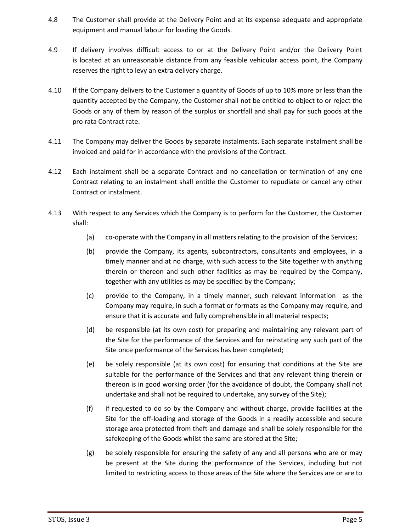- 4.8 The Customer shall provide at the Delivery Point and at its expense adequate and appropriate equipment and manual labour for loading the Goods.
- 4.9 If delivery involves difficult access to or at the Delivery Point and/or the Delivery Point is located at an unreasonable distance from any feasible vehicular access point, the Company reserves the right to levy an extra delivery charge.
- 4.10 If the Company delivers to the Customer a quantity of Goods of up to 10% more or less than the quantity accepted by the Company, the Customer shall not be entitled to object to or reject the Goods or any of them by reason of the surplus or shortfall and shall pay for such goods at the pro rata Contract rate.
- 4.11 The Company may deliver the Goods by separate instalments. Each separate instalment shall be invoiced and paid for in accordance with the provisions of the Contract.
- 4.12 Each instalment shall be a separate Contract and no cancellation or termination of any one Contract relating to an instalment shall entitle the Customer to repudiate or cancel any other Contract or instalment.
- 4.13 With respect to any Services which the Company is to perform for the Customer, the Customer shall:
	- (a) co-operate with the Company in all matters relating to the provision of the Services;
	- (b) provide the Company, its agents, subcontractors, consultants and employees, in a timely manner and at no charge, with such access to the Site together with anything therein or thereon and such other facilities as may be required by the Company, together with any utilities as may be specified by the Company;
	- (c) provide to the Company, in a timely manner, such relevant information as the Company may require, in such a format or formats as the Company may require, and ensure that it is accurate and fully comprehensible in all material respects;
	- (d) be responsible (at its own cost) for preparing and maintaining any relevant part of the Site for the performance of the Services and for reinstating any such part of the Site once performance of the Services has been completed;
	- (e) be solely responsible (at its own cost) for ensuring that conditions at the Site are suitable for the performance of the Services and that any relevant thing therein or thereon is in good working order (for the avoidance of doubt, the Company shall not undertake and shall not be required to undertake, any survey of the Site);
	- (f) if requested to do so by the Company and without charge, provide facilities at the Site for the off-loading and storage of the Goods in a readily accessible and secure storage area protected from theft and damage and shall be solely responsible for the safekeeping of the Goods whilst the same are stored at the Site;
	- (g) be solely responsible for ensuring the safety of any and all persons who are or may be present at the Site during the performance of the Services, including but not limited to restricting access to those areas of the Site where the Services are or are to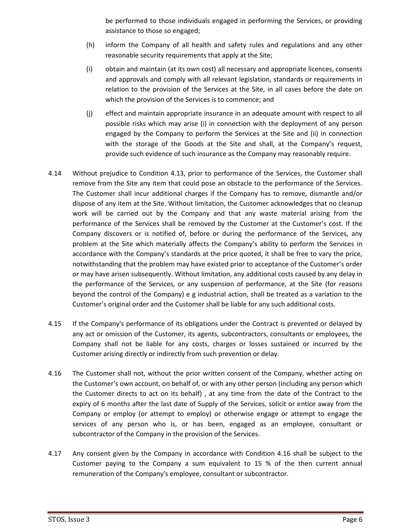be performed to those individuals engaged in performing the Services, or providing assistance to those so engaged;

- (h) inform the Company of all health and safety rules and regulations and any other reasonable security requirements that apply at the Site;
- (i) obtain and maintain (at its own cost) all necessary and appropriate licences, consents and approvals and comply with all relevant legislation, standards or requirements in relation to the provision of the Services at the Site, in all cases before the date on which the provision of the Services is to commence; and
- (j) effect and maintain appropriate insurance in an adequate amount with respect to all possible risks which may arise (i) in connection with the deployment of any person engaged by the Company to perform the Services at the Site and (ii) in connection with the storage of the Goods at the Site and shall, at the Company's request, provide such evidence of such insurance as the Company may reasonably require.
- 4.14 Without prejudice to Condition 4.13, prior to performance of the Services, the Customer shall remove from the Site any item that could pose an obstacle to the performance of the Services. The Customer shall incur additional charges if the Company has to remove, dismantle and/or dispose of any item at the Site. Without limitation, the Customer acknowledges that no cleanup work will be carried out by the Company and that any waste material arising from the performance of the Services shall be removed by the Customer at the Customer's cost. If the Company discovers or is notified of, before or during the performance of the Services, any problem at the Site which materially affects the Company's ability to perform the Services in accordance with the Company's standards at the price quoted, it shall be free to vary the price, notwithstanding that the problem may have existed prior to acceptance of the Customer's order or may have arisen subsequently. Without limitation, any additional costs caused by any delay in the performance of the Services, or any suspension of performance, at the Site (for reasons beyond the control of the Company) e g industrial action, shall be treated as a variation to the Customer's original order and the Customer shall be liable for any such additional costs.
- 4.15 If the Company's performance of its obligations under the Contract is prevented or delayed by any act or omission of the Customer, its agents, subcontractors, consultants or employees, the Company shall not be liable for any costs, charges or losses sustained or incurred by the Customer arising directly or indirectly from such prevention or delay.
- 4.16 The Customer shall not, without the prior written consent of the Company, whether acting on the Customer's own account, on behalf of, or with any other person (including any person which the Customer directs to act on its behalf) , at any time from the date of the Contract to the expiry of 6 months after the last date of Supply of the Services, solicit or entice away from the Company or employ (or attempt to employ) or otherwise engage or attempt to engage the services of any person who is, or has been, engaged as an employee, consultant or subcontractor of the Company in the provision of the Services.
- 4.17 Any consent given by the Company in accordance with Condition 4.16 shall be subject to the Customer paying to the Company a sum equivalent to 15 % of the then current annual remuneration of the Company's employee, consultant or subcontractor.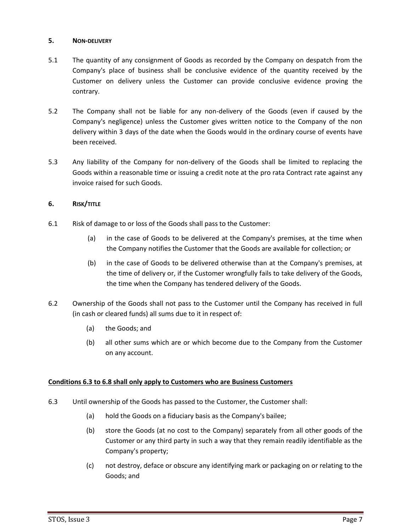## **5. NON-DELIVERY**

- 5.1 The quantity of any consignment of Goods as recorded by the Company on despatch from the Company's place of business shall be conclusive evidence of the quantity received by the Customer on delivery unless the Customer can provide conclusive evidence proving the contrary.
- 5.2 The Company shall not be liable for any non-delivery of the Goods (even if caused by the Company's negligence) unless the Customer gives written notice to the Company of the non delivery within 3 days of the date when the Goods would in the ordinary course of events have been received.
- 5.3 Any liability of the Company for non-delivery of the Goods shall be limited to replacing the Goods within a reasonable time or issuing a credit note at the pro rata Contract rate against any invoice raised for such Goods.

# <span id="page-6-0"></span>**6. RISK/TITLE**

- 6.1 Risk of damage to or loss of the Goods shall pass to the Customer:
	- (a) in the case of Goods to be delivered at the Company's premises, at the time when the Company notifies the Customer that the Goods are available for collection; or
	- (b) in the case of Goods to be delivered otherwise than at the Company's premises, at the time of delivery or, if the Customer wrongfully fails to take delivery of the Goods, the time when the Company has tendered delivery of the Goods.
- 6.2 Ownership of the Goods shall not pass to the Customer until the Company has received in full (in cash or cleared funds) all sums due to it in respect of:
	- (a) the Goods; and
	- (b) all other sums which are or which become due to the Company from the Customer on any account.

## **Conditions 6.3 to 6.8 shall only apply to Customers who are Business Customers**

- 6.3 Until ownership of the Goods has passed to the Customer, the Customer shall:
	- (a) hold the Goods on a fiduciary basis as the Company's bailee;
	- (b) store the Goods (at no cost to the Company) separately from all other goods of the Customer or any third party in such a way that they remain readily identifiable as the Company's property;
	- (c) not destroy, deface or obscure any identifying mark or packaging on or relating to the Goods; and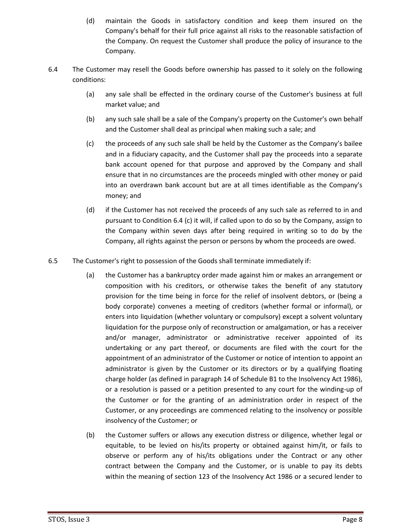- (d) maintain the Goods in satisfactory condition and keep them insured on the Company's behalf for their full price against all risks to the reasonable satisfaction of the Company. On request the Customer shall produce the policy of insurance to the Company.
- 6.4 The Customer may resell the Goods before ownership has passed to it solely on the following conditions:
	- (a) any sale shall be effected in the ordinary course of the Customer's business at full market value; and
	- (b) any such sale shall be a sale of the Company's property on the Customer's own behalf and the Customer shall deal as principal when making such a sale; and
	- (c) the proceeds of any such sale shall be held by the Customer as the Company's bailee and in a fiduciary capacity, and the Customer shall pay the proceeds into a separate bank account opened for that purpose and approved by the Company and shall ensure that in no circumstances are the proceeds mingled with other money or paid into an overdrawn bank account but are at all times identifiable as the Company's money; and
	- (d) if the Customer has not received the proceeds of any such sale as referred to in and pursuant to Condition 6.4 (c) it will, if called upon to do so by the Company, assign to the Company within seven days after being required in writing so to do by the Company, all rights against the person or persons by whom the proceeds are owed.
- 6.5 The Customer's right to possession of the Goods shall terminate immediately if:
	- (a) the Customer has a bankruptcy order made against him or makes an arrangement or composition with his creditors, or otherwise takes the benefit of any statutory provision for the time being in force for the relief of insolvent debtors, or (being a body corporate) convenes a meeting of creditors (whether formal or informal), or enters into liquidation (whether voluntary or compulsory) except a solvent voluntary liquidation for the purpose only of reconstruction or amalgamation, or has a receiver and/or manager, administrator or administrative receiver appointed of its undertaking or any part thereof, or documents are filed with the court for the appointment of an administrator of the Customer or notice of intention to appoint an administrator is given by the Customer or its directors or by a qualifying floating charge holder (as defined in paragraph 14 of Schedule B1 to the Insolvency Act 1986), or a resolution is passed or a petition presented to any court for the winding-up of the Customer or for the granting of an administration order in respect of the Customer, or any proceedings are commenced relating to the insolvency or possible insolvency of the Customer; or
	- (b) the Customer suffers or allows any execution distress or diligence, whether legal or equitable, to be levied on his/its property or obtained against him/it, or fails to observe or perform any of his/its obligations under the Contract or any other contract between the Company and the Customer, or is unable to pay its debts within the meaning of section 123 of the Insolvency Act 1986 or a secured lender to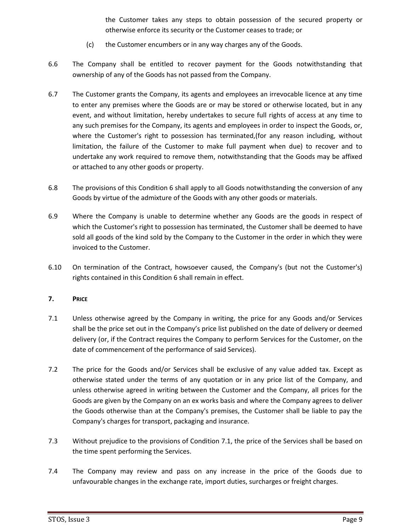the Customer takes any steps to obtain possession of the secured property or otherwise enforce its security or the Customer ceases to trade; or

- (c) the Customer encumbers or in any way charges any of the Goods.
- 6.6 The Company shall be entitled to recover payment for the Goods notwithstanding that ownership of any of the Goods has not passed from the Company.
- 6.7 The Customer grants the Company, its agents and employees an irrevocable licence at any time to enter any premises where the Goods are or may be stored or otherwise located, but in any event, and without limitation, hereby undertakes to secure full rights of access at any time to any such premises for the Company, its agents and employees in order to inspect the Goods, or, where the Customer's right to possession has terminated,(for any reason including, without limitation, the failure of the Customer to make full payment when due) to recover and to undertake any work required to remove them, notwithstanding that the Goods may be affixed or attached to any other goods or property.
- 6.8 The provisions of this Condition 6 shall apply to all Goods notwithstanding the conversion of any Goods by virtue of the admixture of the Goods with any other goods or materials.
- 6.9 Where the Company is unable to determine whether any Goods are the goods in respect of which the Customer's right to possession has terminated, the Customer shall be deemed to have sold all goods of the kind sold by the Company to the Customer in the order in which they were invoiced to the Customer.
- 6.10 On termination of the Contract, howsoever caused, the Company's (but not the Customer's) rights contained in this Conditio[n 6](#page-6-0) shall remain in effect.

## **7. PRICE**

- 7.1 Unless otherwise agreed by the Company in writing, the price for any Goods and/or Services shall be the price set out in the Company's price list published on the date of delivery or deemed delivery (or, if the Contract requires the Company to perform Services for the Customer, on the date of commencement of the performance of said Services).
- 7.2 The price for the Goods and/or Services shall be exclusive of any value added tax. Except as otherwise stated under the terms of any quotation or in any price list of the Company, and unless otherwise agreed in writing between the Customer and the Company, all prices for the Goods are given by the Company on an ex works basis and where the Company agrees to deliver the Goods otherwise than at the Company's premises, the Customer shall be liable to pay the Company's charges for transport, packaging and insurance.
- 7.3 Without prejudice to the provisions of Condition 7.1, the price of the Services shall be based on the time spent performing the Services.
- 7.4 The Company may review and pass on any increase in the price of the Goods due to unfavourable changes in the exchange rate, import duties, surcharges or freight charges.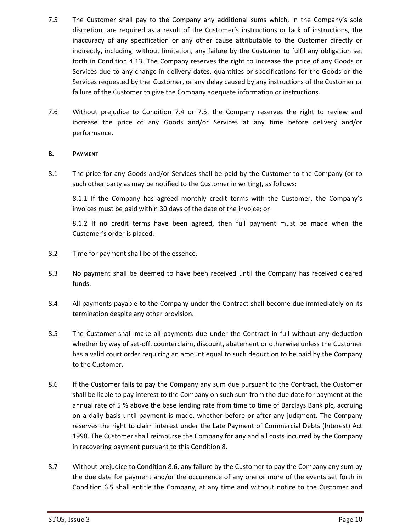- 7.5 The Customer shall pay to the Company any additional sums which, in the Company's sole discretion, are required as a result of the Customer's instructions or lack of instructions, the inaccuracy of any specification or any other cause attributable to the Customer directly or indirectly, including, without limitation, any failure by the Customer to fulfil any obligation set forth in Condition 4.13. The Company reserves the right to increase the price of any Goods or Services due to any change in delivery dates, quantities or specifications for the Goods or the Services requested by the Customer, or any delay caused by any instructions of the Customer or failure of the Customer to give the Company adequate information or instructions.
- 7.6 Without prejudice to Condition 7.4 or 7.5, the Company reserves the right to review and increase the price of any Goods and/or Services at any time before delivery and/or performance.

## **8. PAYMENT**

8.1 The price for any Goods and/or Services shall be paid by the Customer to the Company (or to such other party as may be notified to the Customer in writing), as follows:

8.1.1 If the Company has agreed monthly credit terms with the Customer, the Company's invoices must be paid within 30 days of the date of the invoice; or

8.1.2 If no credit terms have been agreed, then full payment must be made when the Customer's order is placed.

- 8.2 Time for payment shall be of the essence.
- 8.3 No payment shall be deemed to have been received until the Company has received cleared funds.
- 8.4 All payments payable to the Company under the Contract shall become due immediately on its termination despite any other provision.
- 8.5 The Customer shall make all payments due under the Contract in full without any deduction whether by way of set-off, counterclaim, discount, abatement or otherwise unless the Customer has a valid court order requiring an amount equal to such deduction to be paid by the Company to the Customer.
- 8.6 If the Customer fails to pay the Company any sum due pursuant to the Contract, the Customer shall be liable to pay interest to the Company on such sum from the due date for payment at the annual rate of 5 % above the base lending rate from time to time of Barclays Bank plc, accruing on a daily basis until payment is made, whether before or after any judgment. The Company reserves the right to claim interest under the Late Payment of Commercial Debts (Interest) Act 1998. The Customer shall reimburse the Company for any and all costs incurred by the Company in recovering payment pursuant to this Condition 8.
- 8.7 Without prejudice to Condition 8.6, any failure by the Customer to pay the Company any sum by the due date for payment and/or the occurrence of any one or more of the events set forth in Condition 6.5 shall entitle the Company, at any time and without notice to the Customer and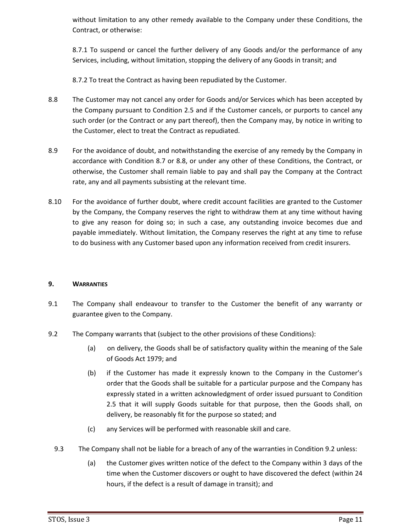without limitation to any other remedy available to the Company under these Conditions, the Contract, or otherwise:

8.7.1 To suspend or cancel the further delivery of any Goods and/or the performance of any Services, including, without limitation, stopping the delivery of any Goods in transit; and

8.7.2 To treat the Contract as having been repudiated by the Customer.

- 8.8 The Customer may not cancel any order for Goods and/or Services which has been accepted by the Company pursuant to Condition 2.5 and if the Customer cancels, or purports to cancel any such order (or the Contract or any part thereof), then the Company may, by notice in writing to the Customer, elect to treat the Contract as repudiated.
- 8.9 For the avoidance of doubt, and notwithstanding the exercise of any remedy by the Company in accordance with Condition 8.7 or 8.8, or under any other of these Conditions, the Contract, or otherwise, the Customer shall remain liable to pay and shall pay the Company at the Contract rate, any and all payments subsisting at the relevant time.
- 8.10 For the avoidance of further doubt, where credit account facilities are granted to the Customer by the Company, the Company reserves the right to withdraw them at any time without having to give any reason for doing so; in such a case, any outstanding invoice becomes due and payable immediately. Without limitation, the Company reserves the right at any time to refuse to do business with any Customer based upon any information received from credit insurers.

## **9. WARRANTIES**

- 9.1 The Company shall endeavour to transfer to the Customer the benefit of any warranty or guarantee given to the Company.
- <span id="page-10-1"></span><span id="page-10-0"></span>9.2 The Company warrants that (subject to the other provisions of these Conditions):
	- (a) on delivery, the Goods shall be of satisfactory quality within the meaning of the Sale of Goods Act 1979; and
	- (b) if the Customer has made it expressly known to the Company in the Customer's order that the Goods shall be suitable for a particular purpose and the Company has expressly stated in a written acknowledgment of order issued pursuant to Condition 2.5 that it will supply Goods suitable for that purpose, then the Goods shall, on delivery, be reasonably fit for the purpose so stated; and
	- (c) any Services will be performed with reasonable skill and care.
	- 9.3 The Company shall not be liable for a breach of any of the warranties in Conditio[n 9.2](#page-10-0) unless:
		- (a) the Customer gives written notice of the defect to the Company within 3 days of the time when the Customer discovers or ought to have discovered the defect (within 24 hours, if the defect is a result of damage in transit); and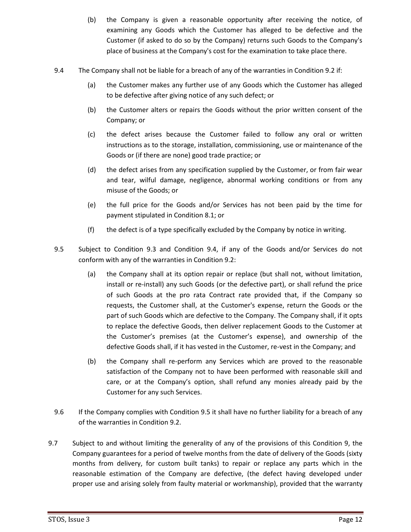- (b) the Company is given a reasonable opportunity after receiving the notice, of examining any Goods which the Customer has alleged to be defective and the Customer (if asked to do so by the Company) returns such Goods to the Company's place of business at the Company's cost for the examination to take place there.
- <span id="page-11-0"></span>9.4 The Company shall not be liable for a breach of any of the warranties in Conditio[n 9.2](#page-10-0) if:
	- (a) the Customer makes any further use of any Goods which the Customer has alleged to be defective after giving notice of any such defect; or
	- (b) the Customer alters or repairs the Goods without the prior written consent of the Company; or
	- (c) the defect arises because the Customer failed to follow any oral or written instructions as to the storage, installation, commissioning, use or maintenance of the Goods or (if there are none) good trade practice; or
	- (d) the defect arises from any specification supplied by the Customer, or from fair wear and tear, wilful damage, negligence, abnormal working conditions or from any misuse of the Goods; or
	- (e) the full price for the Goods and/or Services has not been paid by the time for payment stipulated in Condition 8.1; or
	- (f) the defect is of a type specifically excluded by the Company by notice in writing.
- <span id="page-11-1"></span>9.5 Subject to Condition [9.3](#page-10-1) and Condition [9.4,](#page-11-0) if any of the Goods and/or Services do not conform with any of the warranties in Conditio[n 9.2:](#page-10-0)
	- (a) the Company shall at its option repair or replace (but shall not, without limitation, install or re-install) any such Goods (or the defective part), or shall refund the price of such Goods at the pro rata Contract rate provided that, if the Company so requests, the Customer shall, at the Customer's expense, return the Goods or the part of such Goods which are defective to the Company. The Company shall, if it opts to replace the defective Goods, then deliver replacement Goods to the Customer at the Customer's premises (at the Customer's expense), and ownership of the defective Goods shall, if it has vested in the Customer, re-vest in the Company; and
	- (b) the Company shall re-perform any Services which are proved to the reasonable satisfaction of the Company not to have been performed with reasonable skill and care, or at the Company's option, shall refund any monies already paid by the Customer for any such Services.
- 9.6 If the Company complies with Condition [9.5](#page-11-1) it shall have no further liability for a breach of any of the warranties in Condition [9.2.](#page-10-0)
- 9.7 Subject to and without limiting the generality of any of the provisions of this Condition 9, the Company guarantees for a period of twelve months from the date of delivery of the Goods (sixty months from delivery, for custom built tanks) to repair or replace any parts which in the reasonable estimation of the Company are defective, (the defect having developed under proper use and arising solely from faulty material or workmanship), provided that the warranty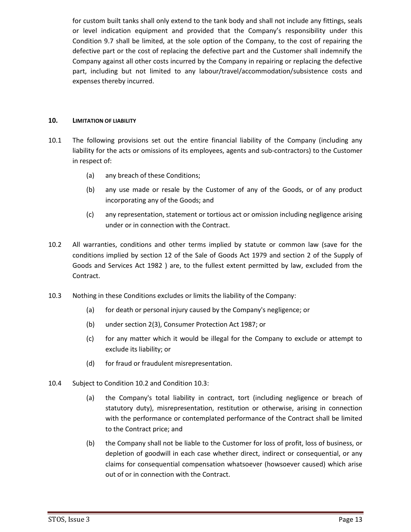for custom built tanks shall only extend to the tank body and shall not include any fittings, seals or level indication equipment and provided that the Company's responsibility under this Condition 9.7 shall be limited, at the sole option of the Company, to the cost of repairing the defective part or the cost of replacing the defective part and the Customer shall indemnify the Company against all other costs incurred by the Company in repairing or replacing the defective part, including but not limited to any labour/travel/accommodation/subsistence costs and expenses thereby incurred.

### **10. LIMITATION OF LIABILITY**

- 10.1 The following provisions set out the entire financial liability of the Company (including any liability for the acts or omissions of its employees, agents and sub-contractors) to the Customer in respect of:
	- (a) any breach of these Conditions;
	- (b) any use made or resale by the Customer of any of the Goods, or of any product incorporating any of the Goods; and
	- (c) any representation, statement or tortious act or omission including negligence arising under or in connection with the Contract.
- <span id="page-12-0"></span>10.2 All warranties, conditions and other terms implied by statute or common law (save for the conditions implied by section 12 of the Sale of Goods Act 1979 and section 2 of the Supply of Goods and Services Act 1982 ) are, to the fullest extent permitted by law, excluded from the Contract.
- <span id="page-12-1"></span>10.3 Nothing in these Conditions excludes or limits the liability of the Company:
	- (a) for death or personal injury caused by the Company's negligence; or
	- (b) under section 2(3), Consumer Protection Act 1987; or
	- (c) for any matter which it would be illegal for the Company to exclude or attempt to exclude its liability; or
	- (d) for fraud or fraudulent misrepresentation.
- 10.4 Subject to Conditio[n 10.2](#page-12-0) and Condition [10.3:](#page-12-1)
	- (a) the Company's total liability in contract, tort (including negligence or breach of statutory duty), misrepresentation, restitution or otherwise, arising in connection with the performance or contemplated performance of the Contract shall be limited to the Contract price; and
	- (b) the Company shall not be liable to the Customer for loss of profit, loss of business, or depletion of goodwill in each case whether direct, indirect or consequential, or any claims for consequential compensation whatsoever (howsoever caused) which arise out of or in connection with the Contract.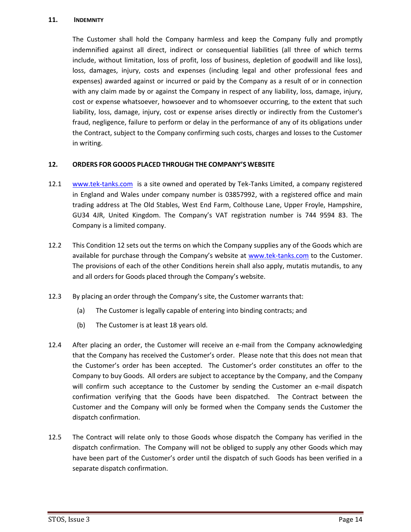#### **11. INDEMNITY**

The Customer shall hold the Company harmless and keep the Company fully and promptly indemnified against all direct, indirect or consequential liabilities (all three of which terms include, without limitation, loss of profit, loss of business, depletion of goodwill and like loss), loss, damages, injury, costs and expenses (including legal and other professional fees and expenses) awarded against or incurred or paid by the Company as a result of or in connection with any claim made by or against the Company in respect of any liability, loss, damage, injury, cost or expense whatsoever, howsoever and to whomsoever occurring, to the extent that such liability, loss, damage, injury, cost or expense arises directly or indirectly from the Customer's fraud, negligence, failure to perform or delay in the performance of any of its obligations under the Contract, subject to the Company confirming such costs, charges and losses to the Customer in writing.

# **12. ORDERS FOR GOODS PLACED THROUGH THE COMPANY'S WEBSITE**

- 12.1 [www.tek-tanks.com](http://www.tek-tanks.com/) is a site owned and operated by Tek-Tanks Limited, a company registered in England and Wales under company number is 03857992, with a registered office and main trading address at The Old Stables, West End Farm, Colthouse Lane, Upper Froyle, Hampshire, GU34 4JR, United Kingdom. The Company's VAT registration number is 744 9594 83. The Company is a limited company.
- 12.2 This Condition 12 sets out the terms on which the Company supplies any of the Goods which are available for purchase through the Company's website at [www.tek-tanks.com](http://www.tek-tanks.com/) to the Customer. The provisions of each of the other Conditions herein shall also apply, mutatis mutandis, to any and all orders for Goods placed through the Company's website.
- 12.3 By placing an order through the Company's site, the Customer warrants that:
	- (a) The Customer is legally capable of entering into binding contracts; and
	- (b) The Customer is at least 18 years old.
- 12.4 After placing an order, the Customer will receive an e-mail from the Company acknowledging that the Company has received the Customer's order. Please note that this does not mean that the Customer's order has been accepted. The Customer's order constitutes an offer to the Company to buy Goods. All orders are subject to acceptance by the Company, and the Company will confirm such acceptance to the Customer by sending the Customer an e-mail dispatch confirmation verifying that the Goods have been dispatched. The Contract between the Customer and the Company will only be formed when the Company sends the Customer the dispatch confirmation.
- 12.5 The Contract will relate only to those Goods whose dispatch the Company has verified in the dispatch confirmation. The Company will not be obliged to supply any other Goods which may have been part of the Customer's order until the dispatch of such Goods has been verified in a separate dispatch confirmation.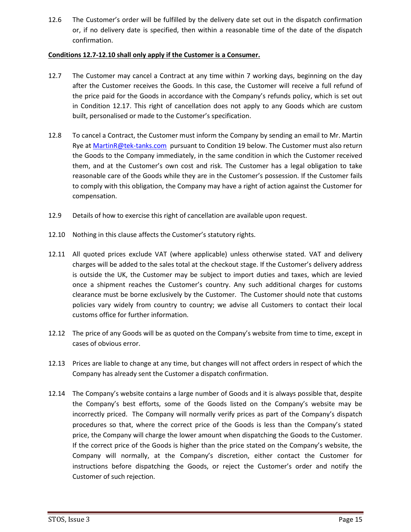12.6 The Customer's order will be fulfilled by the delivery date set out in the dispatch confirmation or, if no delivery date is specified, then within a reasonable time of the date of the dispatch confirmation.

## **Conditions 12.7-12.10 shall only apply if the Customer is a Consumer.**

- 12.7 The Customer may cancel a Contract at any time within 7 working days, beginning on the day after the Customer receives the Goods. In this case, the Customer will receive a full refund of the price paid for the Goods in accordance with the Company's refunds policy, which is set out in Condition 12.17. This right of cancellation does not apply to any Goods which are custom built, personalised or made to the Customer's specification.
- 12.8 To cancel a Contract, the Customer must inform the Company by sending an email to Mr. Martin Rye a[t MartinR@tek-tanks.com](mailto:MartinR@tek-tanks.com) pursuant to Condition 19 below. The Customer must also return the Goods to the Company immediately, in the same condition in which the Customer received them, and at the Customer's own cost and risk. The Customer has a legal obligation to take reasonable care of the Goods while they are in the Customer's possession. If the Customer fails to comply with this obligation, the Company may have a right of action against the Customer for compensation.
- 12.9 Details of how to exercise this right of cancellation are available upon request.
- 12.10 Nothing in this clause affects the Customer's statutory rights.
- 12.11 All quoted prices exclude VAT (where applicable) unless otherwise stated. VAT and delivery charges will be added to the sales total at the checkout stage. If the Customer's delivery address is outside the UK, the Customer may be subject to import duties and taxes, which are levied once a shipment reaches the Customer's country. Any such additional charges for customs clearance must be borne exclusively by the Customer. The Customer should note that customs policies vary widely from country to country; we advise all Customers to contact their local customs office for further information.
- 12.12 The price of any Goods will be as quoted on the Company's website from time to time, except in cases of obvious error.
- 12.13 Prices are liable to change at any time, but changes will not affect orders in respect of which the Company has already sent the Customer a dispatch confirmation.
- 12.14 The Company's website contains a large number of Goods and it is always possible that, despite the Company's best efforts, some of the Goods listed on the Company's website may be incorrectly priced. The Company will normally verify prices as part of the Company's dispatch procedures so that, where the correct price of the Goods is less than the Company's stated price, the Company will charge the lower amount when dispatching the Goods to the Customer. If the correct price of the Goods is higher than the price stated on the Company's website, the Company will normally, at the Company's discretion, either contact the Customer for instructions before dispatching the Goods, or reject the Customer's order and notify the Customer of such rejection.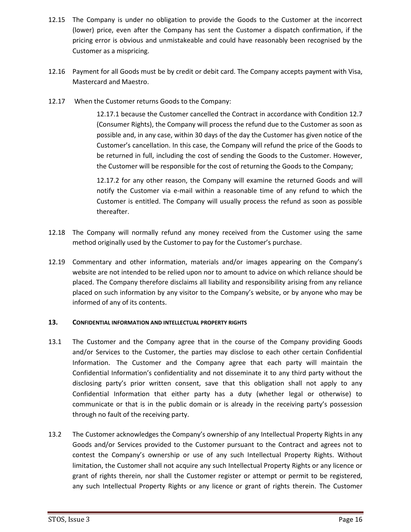- 12.15 The Company is under no obligation to provide the Goods to the Customer at the incorrect (lower) price, even after the Company has sent the Customer a dispatch confirmation, if the pricing error is obvious and unmistakeable and could have reasonably been recognised by the Customer as a mispricing.
- 12.16 Payment for all Goods must be by credit or debit card. The Company accepts payment with Visa, Mastercard and Maestro.
- 12.17 When the Customer returns Goods to the Company:

12.17.1 because the Customer cancelled the Contract in accordance with Condition 12.7 (Consumer Rights), the Company will process the refund due to the Customer as soon as possible and, in any case, within 30 days of the day the Customer has given notice of the Customer's cancellation. In this case, the Company will refund the price of the Goods to be returned in full, including the cost of sending the Goods to the Customer. However, the Customer will be responsible for the cost of returning the Goods to the Company;

12.17.2 for any other reason, the Company will examine the returned Goods and will notify the Customer via e-mail within a reasonable time of any refund to which the Customer is entitled. The Company will usually process the refund as soon as possible thereafter.

- 12.18 The Company will normally refund any money received from the Customer using the same method originally used by the Customer to pay for the Customer's purchase.
- 12.19 Commentary and other information, materials and/or images appearing on the Company's website are not intended to be relied upon nor to amount to advice on which reliance should be placed. The Company therefore disclaims all liability and responsibility arising from any reliance placed on such information by any visitor to the Company's website, or by anyone who may be informed of any of its contents.

# **13. CONFIDENTIAL INFORMATION AND INTELLECTUAL PROPERTY RIGHTS**

- 13.1 The Customer and the Company agree that in the course of the Company providing Goods and/or Services to the Customer, the parties may disclose to each other certain Confidential Information. The Customer and the Company agree that each party will maintain the Confidential Information's confidentiality and not disseminate it to any third party without the disclosing party's prior written consent, save that this obligation shall not apply to any Confidential Information that either party has a duty (whether legal or otherwise) to communicate or that is in the public domain or is already in the receiving party's possession through no fault of the receiving party.
- 13.2 The Customer acknowledges the Company's ownership of any Intellectual Property Rights in any Goods and/or Services provided to the Customer pursuant to the Contract and agrees not to contest the Company's ownership or use of any such Intellectual Property Rights. Without limitation, the Customer shall not acquire any such Intellectual Property Rights or any licence or grant of rights therein, nor shall the Customer register or attempt or permit to be registered, any such Intellectual Property Rights or any licence or grant of rights therein. The Customer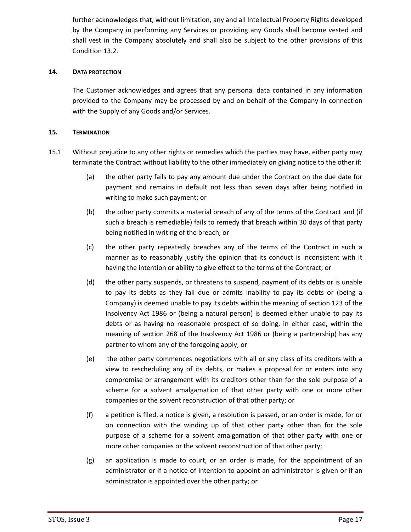further acknowledges that, without limitation, any and all Intellectual Property Rights developed by the Company in performing any Services or providing any Goods shall become vested and shall vest in the Company absolutely and shall also be subject to the other provisions of this Condition 13.2.

## **14. DATA PROTECTION**

The Customer acknowledges and agrees that any personal data contained in any information provided to the Company may be processed by and on behalf of the Company in connection with the Supply of any Goods and/or Services.

## <span id="page-16-0"></span>**15. TERMINATION**

- <span id="page-16-1"></span>15.1 Without prejudice to any other rights or remedies which the parties may have, either party may terminate the Contract without liability to the other immediately on giving notice to the other if:
	- (a) the other party fails to pay any amount due under the Contract on the due date for payment and remains in default not less than seven days after being notified in writing to make such payment; or
	- (b) the other party commits a material breach of any of the terms of the Contract and (if such a breach is remediable) fails to remedy that breach within 30 days of that party being notified in writing of the breach; or
	- (c) the other party repeatedly breaches any of the terms of the Contract in such a manner as to reasonably justify the opinion that its conduct is inconsistent with it having the intention or ability to give effect to the terms of the Contract; or
	- (d) the other party suspends, or threatens to suspend, payment of its debts or is unable to pay its debts as they fall due or admits inability to pay its debts or (being a Company) is deemed unable to pay its debts within the meaning of section 123 of the Insolvency Act 1986 or (being a natural person) is deemed either unable to pay its debts or as having no reasonable prospect of so doing, in either case, within the meaning of section 268 of the Insolvency Act 1986 or (being a partnership) has any partner to whom any of the foregoing apply; or
	- (e) the other party commences negotiations with all or any class of its creditors with a view to rescheduling any of its debts, or makes a proposal for or enters into any compromise or arrangement with its creditors other than for the sole purpose of a scheme for a solvent amalgamation of that other party with one or more other companies or the solvent reconstruction of that other party; or
	- (f) a petition is filed, a notice is given, a resolution is passed, or an order is made, for or on connection with the winding up of that other party other than for the sole purpose of a scheme for a solvent amalgamation of that other party with one or more other companies or the solvent reconstruction of that other party;
	- (g) an application is made to court, or an order is made, for the appointment of an administrator or if a notice of intention to appoint an administrator is given or if an administrator is appointed over the other party; or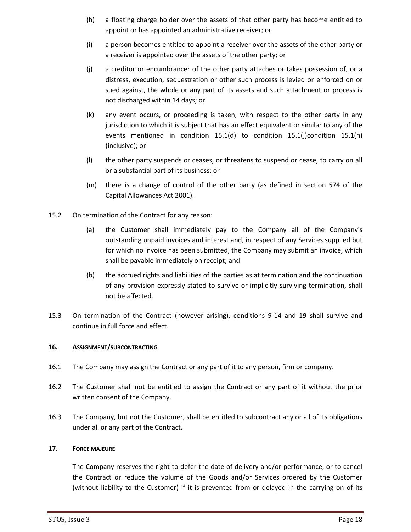- <span id="page-17-1"></span>(h) a floating charge holder over the assets of that other party has become entitled to appoint or has appointed an administrative receiver; or
- (i) a person becomes entitled to appoint a receiver over the assets of the other party or a receiver is appointed over the assets of the other party; or
- <span id="page-17-0"></span>(j) a creditor or encumbrancer of the other party attaches or takes possession of, or a distress, execution, sequestration or other such process is levied or enforced on or sued against, the whole or any part of its assets and such attachment or process is not discharged within 14 days; or
- (k) any event occurs, or proceeding is taken, with respect to the other party in any jurisdiction to which it is subject that has an effect equivalent or similar to any of the events mentioned in condition [15.1\(d\)](#page-16-1) to condition [15.1\(j\)c](#page-17-0)ondition [15.1\(h\)](#page-17-1) (inclusive); or
- (l) the other party suspends or ceases, or threatens to suspend or cease, to carry on all or a substantial part of its business; or
- (m) there is a change of control of the other party (as defined in section 574 of the Capital Allowances Act 2001).
- 15.2 On termination of the Contract for any reason:
	- (a) the Customer shall immediately pay to the Company all of the Company's outstanding unpaid invoices and interest and, in respect of any Services supplied but for which no invoice has been submitted, the Company may submit an invoice, which shall be payable immediately on receipt; and
	- (b) the accrued rights and liabilities of the parties as at termination and the continuation of any provision expressly stated to survive or implicitly surviving termination, shall not be affected.
- 15.3 On termination of the Contract (however arising), conditions 9-14 and 19 shall survive and continue in full force and effect.

## **16. ASSIGNMENT/SUBCONTRACTING**

- 16.1 The Company may assign the Contract or any part of it to any person, firm or company.
- 16.2 The Customer shall not be entitled to assign the Contract or any part of it without the prior written consent of the Company.
- 16.3 The Company, but not the Customer, shall be entitled to subcontract any or all of its obligations under all or any part of the Contract.

## **17. FORCE MAJEURE**

The Company reserves the right to defer the date of delivery and/or performance, or to cancel the Contract or reduce the volume of the Goods and/or Services ordered by the Customer (without liability to the Customer) if it is prevented from or delayed in the carrying on of its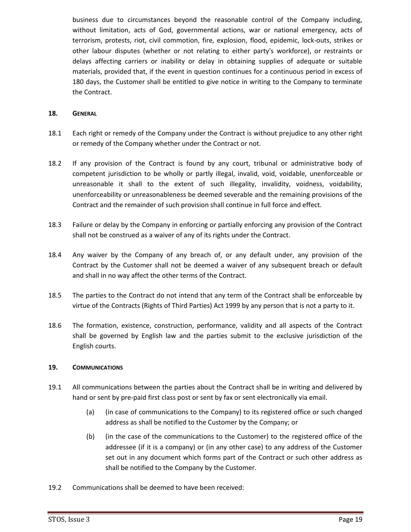business due to circumstances beyond the reasonable control of the Company including, without limitation, acts of God, governmental actions, war or national emergency, acts of terrorism, protests, riot, civil commotion, fire, explosion, flood, epidemic, lock-outs, strikes or other labour disputes (whether or not relating to either party's workforce), or restraints or delays affecting carriers or inability or delay in obtaining supplies of adequate or suitable materials, provided that, if the event in question continues for a continuous period in excess of 180 days, the Customer shall be entitled to give notice in writing to the Company to terminate the Contract.

#### **18. GENERAL**

- 18.1 Each right or remedy of the Company under the Contract is without prejudice to any other right or remedy of the Company whether under the Contract or not.
- 18.2 If any provision of the Contract is found by any court, tribunal or administrative body of competent jurisdiction to be wholly or partly illegal, invalid, void, voidable, unenforceable or unreasonable it shall to the extent of such illegality, invalidity, voidness, voidability, unenforceability or unreasonableness be deemed severable and the remaining provisions of the Contract and the remainder of such provision shall continue in full force and effect.
- 18.3 Failure or delay by the Company in enforcing or partially enforcing any provision of the Contract shall not be construed as a waiver of any of its rights under the Contract.
- 18.4 Any waiver by the Company of any breach of, or any default under, any provision of the Contract by the Customer shall not be deemed a waiver of any subsequent breach or default and shall in no way affect the other terms of the Contract.
- 18.5 The parties to the Contract do not intend that any term of the Contract shall be enforceable by virtue of the Contracts (Rights of Third Parties) Act 1999 by any person that is not a party to it.
- 18.6 The formation, existence, construction, performance, validity and all aspects of the Contract shall be governed by English law and the parties submit to the exclusive jurisdiction of the English courts.

## **19. COMMUNICATIONS**

- 19.1 All communications between the parties about the Contract shall be in writing and delivered by hand or sent by pre-paid first class post or sent by fax or sent electronically via email.
	- (a) (in case of communications to the Company) to its registered office or such changed address as shall be notified to the Customer by the Company; or
	- (b) (in the case of the communications to the Customer) to the registered office of the addressee (if it is a company) or (in any other case) to any address of the Customer set out in any document which forms part of the Contract or such other address as shall be notified to the Company by the Customer.
- 19.2 Communications shall be deemed to have been received: